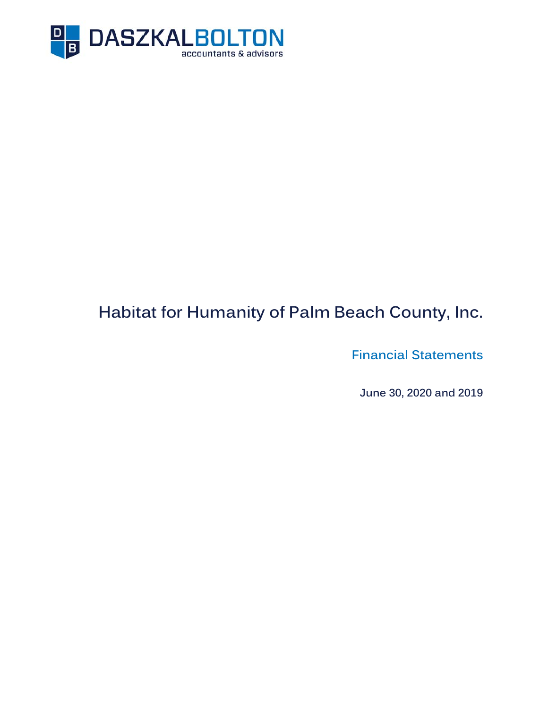

# **Habitat for Humanity of Palm Beach County, Inc.**

**Financial Statements** 

**June 30, 2020 and 2019**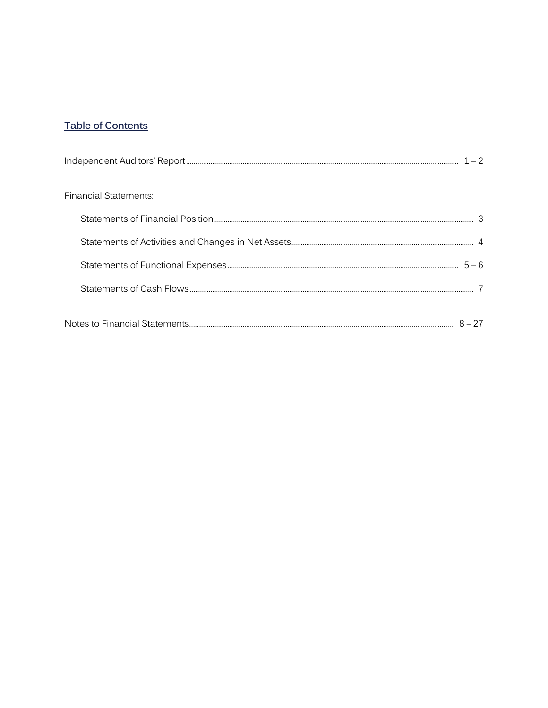# **Table of Contents**

| <b>Financial Statements:</b> |  |
|------------------------------|--|
|                              |  |
|                              |  |
|                              |  |
|                              |  |
|                              |  |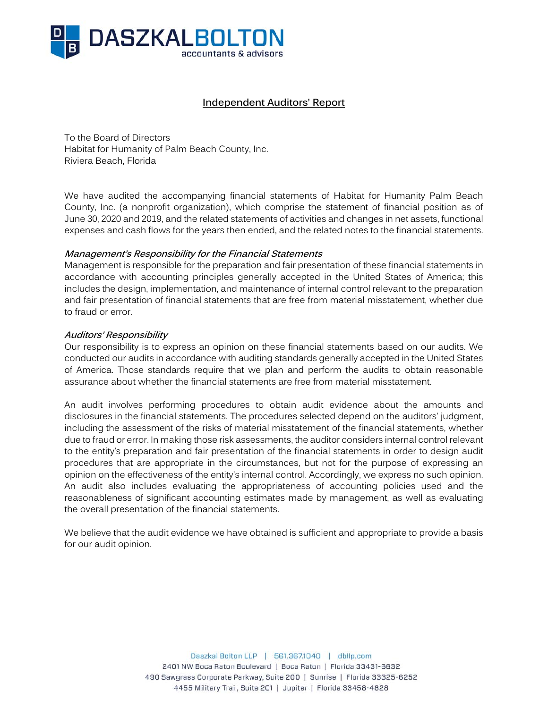

## **Independent Auditors' Report**

To the Board of Directors Habitat for Humanity of Palm Beach County, Inc. Riviera Beach, Florida

We have audited the accompanying financial statements of Habitat for Humanity Palm Beach County, Inc. (a nonprofit organization), which comprise the statement of financial position as of June 30, 2020 and 2019, and the related statements of activities and changes in net assets, functional expenses and cash flows for the years then ended, and the related notes to the financial statements.

#### **Management's Responsibility for the Financial Statements**

Management is responsible for the preparation and fair presentation of these financial statements in accordance with accounting principles generally accepted in the United States of America; this includes the design, implementation, and maintenance of internal control relevant to the preparation and fair presentation of financial statements that are free from material misstatement, whether due to fraud or error.

#### **Auditors' Responsibility**

Our responsibility is to express an opinion on these financial statements based on our audits. We conducted our audits in accordance with auditing standards generally accepted in the United States of America. Those standards require that we plan and perform the audits to obtain reasonable assurance about whether the financial statements are free from material misstatement.

An audit involves performing procedures to obtain audit evidence about the amounts and disclosures in the financial statements. The procedures selected depend on the auditors' judgment, including the assessment of the risks of material misstatement of the financial statements, whether due to fraud or error. In making those risk assessments, the auditor considers internal control relevant to the entity's preparation and fair presentation of the financial statements in order to design audit procedures that are appropriate in the circumstances, but not for the purpose of expressing an opinion on the effectiveness of the entity's internal control. Accordingly, we express no such opinion. An audit also includes evaluating the appropriateness of accounting policies used and the reasonableness of significant accounting estimates made by management, as well as evaluating the overall presentation of the financial statements.

We believe that the audit evidence we have obtained is sufficient and appropriate to provide a basis for our audit opinion.

> Daszkal Bolton LLP | 561.367.1040 | dbllp.com 2401 NW Boca Raton Boulevard | Boca Raton | Florida 33431-6632 490 Sawgrass Corporate Parkway, Suite 200 | Sunrise | Florida 33325-6252 4455 Military Trail, Suite 201 | Jupiter | Florida 33458-4828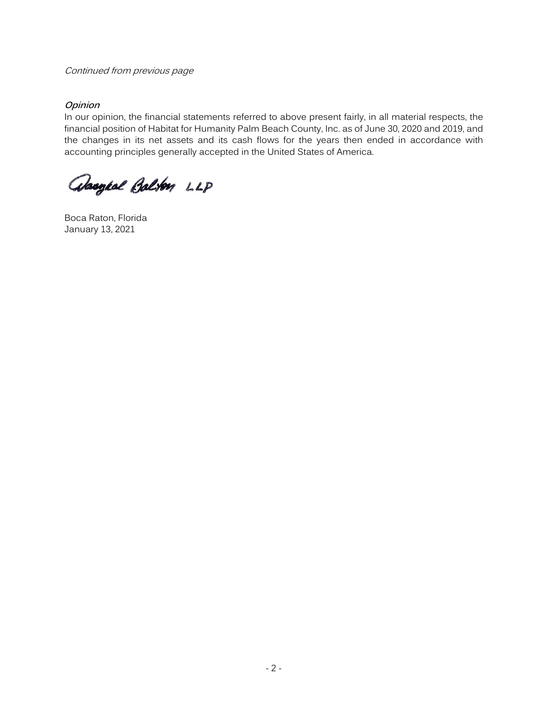#### Continued from previous page

## **Opinion**

In our opinion, the financial statements referred to above present fairly, in all material respects, the financial position of Habitat for Humanity Palm Beach County, Inc. as of June 30, 2020 and 2019, and the changes in its net assets and its cash flows for the years then ended in accordance with accounting principles generally accepted in the United States of America.

absoged Balton LLP

Boca Raton, Florida January 13, 2021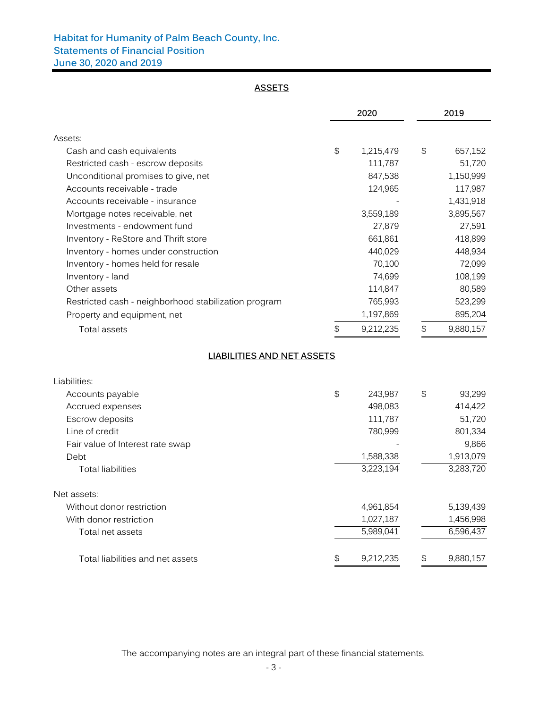## **Habitat for Humanity of Palm Beach County, Inc. Statements of Financial Position June 30, 2020 and 2019**

#### **ASSETS**

|                                                                |               | 2020                 |                           | 2019              |  |
|----------------------------------------------------------------|---------------|----------------------|---------------------------|-------------------|--|
|                                                                |               |                      |                           |                   |  |
| Assets:                                                        | $\mathcal{L}$ |                      | \$                        |                   |  |
| Cash and cash equivalents<br>Restricted cash - escrow deposits |               | 1,215,479<br>111,787 |                           | 657,152<br>51,720 |  |
| Unconditional promises to give, net                            |               | 847,538              |                           | 1,150,999         |  |
| Accounts receivable - trade                                    |               | 124,965              |                           | 117,987           |  |
| Accounts receivable - insurance                                |               |                      |                           | 1,431,918         |  |
|                                                                |               | 3,559,189            |                           | 3,895,567         |  |
| Mortgage notes receivable, net<br>Investments - endowment fund |               | 27,879               |                           | 27,591            |  |
|                                                                |               |                      |                           |                   |  |
| Inventory - ReStore and Thrift store                           |               | 661,861              |                           | 418,899           |  |
| Inventory - homes under construction                           |               | 440,029              |                           | 448,934           |  |
| Inventory - homes held for resale                              |               | 70,100               |                           | 72,099            |  |
| Inventory - land                                               |               | 74,699               |                           | 108,199           |  |
| Other assets                                                   |               | 114,847              |                           | 80,589            |  |
| Restricted cash - neighborhood stabilization program           |               | 765,993              |                           | 523,299           |  |
| Property and equipment, net                                    |               | 1,197,869            |                           | 895,204           |  |
| <b>Total assets</b>                                            | \$            | 9,212,235            | \$                        | 9,880,157         |  |
| LIABILITIES AND NET ASSETS                                     |               |                      |                           |                   |  |
| Liabilities:                                                   |               |                      |                           |                   |  |
| Accounts payable                                               | \$            | 243,987              | $\boldsymbol{\mathsf{S}}$ | 93,299            |  |
| Accrued expenses                                               |               | 498,083              |                           | 414,422           |  |
| Escrow deposits                                                |               | 111,787              |                           | 51,720            |  |
| Line of credit                                                 |               | 780,999              |                           | 801,334           |  |
| Fair value of Interest rate swap                               |               |                      |                           | 9,866             |  |
| Debt                                                           |               | 1,588,338            |                           | 1,913,079         |  |
| <b>Total liabilities</b>                                       |               | 3,223,194            |                           | 3,283,720         |  |
| Net assets:                                                    |               |                      |                           |                   |  |
| Without donor restriction                                      |               | 4,961,854            |                           | 5,139,439         |  |
| With donor restriction                                         |               | 1,027,187            |                           | 1,456,998         |  |
| Total net assets                                               |               | 5,989,041            |                           | 6,596,437         |  |
| Total liabilities and net assets                               | \$            | 9,212,235            | \$                        | 9,880,157         |  |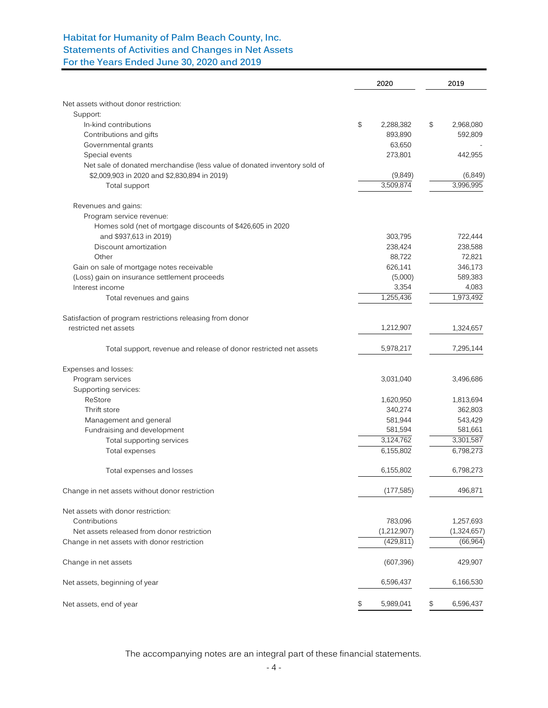## **Habitat for Humanity of Palm Beach County, Inc. Statements of Activities and Changes in Net Assets For the Years Ended June 30, 2020 and 2019**

|                                                                          | 2020            |    | 2019        |
|--------------------------------------------------------------------------|-----------------|----|-------------|
| Net assets without donor restriction:                                    |                 |    |             |
| Support:                                                                 |                 |    |             |
| In-kind contributions                                                    | \$<br>2,288,382 | \$ | 2,968,080   |
| Contributions and gifts                                                  | 893,890         |    | 592,809     |
| Governmental grants                                                      | 63,650          |    |             |
| Special events                                                           | 273,801         |    | 442,955     |
| Net sale of donated merchandise (less value of donated inventory sold of |                 |    |             |
| \$2,009,903 in 2020 and \$2,830,894 in 2019)                             | (9,849)         |    | (6, 849)    |
| Total support                                                            | 3,509,874       |    | 3,996,995   |
| Revenues and gains:                                                      |                 |    |             |
| Program service revenue:                                                 |                 |    |             |
| Homes sold (net of mortgage discounts of \$426,605 in 2020               |                 |    |             |
| and \$937,613 in 2019)                                                   | 303,795         |    | 722,444     |
| Discount amortization                                                    | 238,424         |    | 238,588     |
| Other                                                                    | 88,722          |    | 72,821      |
| Gain on sale of mortgage notes receivable                                | 626,141         |    | 346,173     |
| (Loss) gain on insurance settlement proceeds                             | (5,000)         |    | 589,383     |
| Interest income                                                          | 3,354           |    | 4,083       |
| Total revenues and gains                                                 | 1,255,436       |    | 1,973,492   |
| Satisfaction of program restrictions releasing from donor                |                 |    |             |
| restricted net assets                                                    | 1,212,907       |    | 1,324,657   |
| Total support, revenue and release of donor restricted net assets        | 5,978,217       |    | 7,295,144   |
| Expenses and losses:                                                     |                 |    |             |
| Program services                                                         | 3,031,040       |    | 3,496,686   |
| Supporting services:                                                     |                 |    |             |
| ReStore                                                                  | 1,620,950       |    | 1,813,694   |
| Thrift store                                                             | 340,274         |    | 362,803     |
| Management and general                                                   | 581,944         |    | 543,429     |
| Fundraising and development                                              | 581,594         |    | 581,661     |
| Total supporting services                                                | 3,124,762       |    | 3,301,587   |
| Total expenses                                                           | 6,155,802       |    | 6,798,273   |
| Total expenses and losses                                                | 6,155,802       |    | 6,798,273   |
| Change in net assets without donor restriction                           | (177,585)       |    | 496,871     |
| Net assets with donor restriction:                                       |                 |    |             |
| Contributions                                                            | 783,096         |    | 1,257,693   |
| Net assets released from donor restriction                               | (1,212,907)     |    | (1,324,657) |
| Change in net assets with donor restriction                              | (429, 811)      |    | (66, 964)   |
| Change in net assets                                                     | (607, 396)      |    | 429,907     |
| Net assets, beginning of year                                            | 6,596,437       |    | 6,166,530   |
| Net assets, end of year                                                  | \$<br>5,989,041 | \$ | 6,596,437   |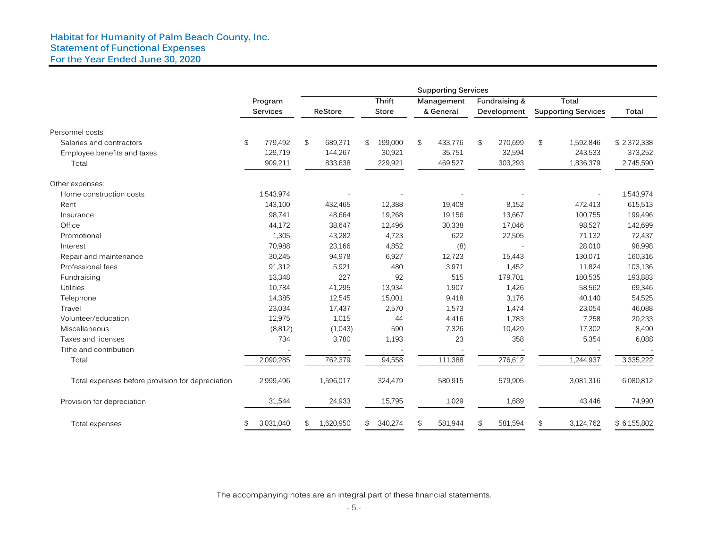#### **Habitat for Humanity of Palm Beach County, Inc. Statement of Functional Expenses For the Year Ended June 30, 2020**

|                                                  | <b>Supporting Services</b> |           |    |           |    |               |                |            |               |                |                            |              |
|--------------------------------------------------|----------------------------|-----------|----|-----------|----|---------------|----------------|------------|---------------|----------------|----------------------------|--------------|
|                                                  |                            | Program   |    |           |    | <b>Thrift</b> |                | Management | Fundraising & |                | Total                      |              |
|                                                  |                            | Services  |    | ReStore   |    | <b>Store</b>  | & General      |            | Development   |                | <b>Supporting Services</b> | Total        |
| Personnel costs:                                 |                            |           |    |           |    |               |                |            |               |                |                            |              |
| Salaries and contractors                         | $\mathfrak{P}$             | 779.492   | \$ | 689,371   | \$ | 199,000       | $\mathfrak{S}$ | 433,776    | \$<br>270,699 | $\mathfrak{S}$ | 1,592,846                  | \$2,372,338  |
| Employee benefits and taxes                      |                            | 129,719   |    | 144,267   |    | 30,921        |                | 35,751     | 32,594        |                | 243,533                    | 373,252      |
| Total                                            |                            | 909,211   |    | 833,638   |    | 229,921       |                | 469,527    | 303,293       |                | 1,836,379                  | 2,745,590    |
| Other expenses:                                  |                            |           |    |           |    |               |                |            |               |                |                            |              |
| Home construction costs                          |                            | 1,543,974 |    |           |    |               |                |            |               |                |                            | 1,543,974    |
| Rent                                             |                            | 143,100   |    | 432,465   |    | 12,388        |                | 19,408     | 8,152         |                | 472,413                    | 615,513      |
| Insurance                                        |                            | 98,741    |    | 48,664    |    | 19,268        |                | 19,156     | 13,667        |                | 100,755                    | 199,496      |
| Office                                           |                            | 44,172    |    | 38,647    |    | 12,496        |                | 30,338     | 17,046        |                | 98,527                     | 142,699      |
| Promotional                                      |                            | 1,305     |    | 43,282    |    | 4,723         |                | 622        | 22,505        |                | 71,132                     | 72,437       |
| Interest                                         |                            | 70,988    |    | 23,166    |    | 4,852         |                | (8)        |               |                | 28,010                     | 98,998       |
| Repair and maintenance                           |                            | 30,245    |    | 94,978    |    | 6,927         |                | 12,723     | 15,443        |                | 130,071                    | 160,316      |
| Professional fees                                |                            | 91,312    |    | 5,921     |    | 480           |                | 3,971      | 1,452         |                | 11,824                     | 103,136      |
| Fundraising                                      |                            | 13,348    |    | 227       |    | 92            |                | 515        | 179,701       |                | 180,535                    | 193,883      |
| Utilities                                        |                            | 10,784    |    | 41,295    |    | 13,934        |                | 1,907      | 1,426         |                | 58,562                     | 69,346       |
| Telephone                                        |                            | 14,385    |    | 12,545    |    | 15,001        |                | 9,418      | 3,176         |                | 40,140                     | 54,525       |
| Travel                                           |                            | 23,034    |    | 17,437    |    | 2,570         |                | 1,573      | 1,474         |                | 23,054                     | 46,088       |
| Volunteer/education                              |                            | 12,975    |    | 1,015     |    | 44            |                | 4,416      | 1,783         |                | 7,258                      | 20,233       |
| Miscellaneous                                    |                            | (8, 812)  |    | (1,043)   |    | 590           |                | 7,326      | 10,429        |                | 17,302                     | 8,490        |
| Taxes and licenses                               |                            | 734       |    | 3,780     |    | 1,193         |                | 23         | 358           |                | 5,354                      | 6,088        |
| Tithe and contribution                           |                            |           |    |           |    |               |                |            |               |                |                            |              |
| Total                                            |                            | 2,090,285 |    | 762,379   |    | 94,558        |                | 111,388    | 276,612       |                | 1,244,937                  | 3,335,222    |
| Total expenses before provision for depreciation |                            | 2,999,496 |    | 1,596,017 |    | 324,479       |                | 580,915    | 579,905       |                | 3,081,316                  | 6,080,812    |
| Provision for depreciation                       |                            | 31,544    |    | 24,933    |    | 15,795        |                | 1,029      | 1,689         |                | 43,446                     | 74,990       |
| Total expenses                                   | \$                         | 3,031,040 | \$ | 1,620,950 | \$ | 340,274       | \$             | 581,944    | \$<br>581,594 | \$             | 3,124,762                  | \$ 6,155,802 |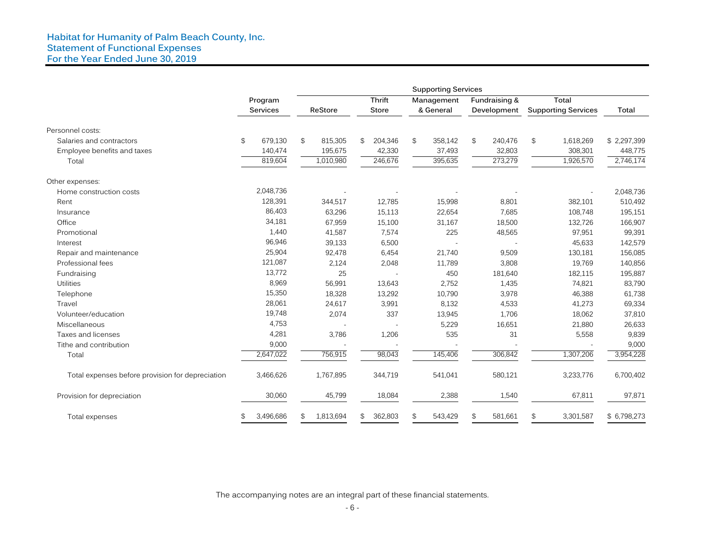|                                                  |                 |                 |               |                | <b>Supporting Services</b> |               |                |                            |              |
|--------------------------------------------------|-----------------|-----------------|---------------|----------------|----------------------------|---------------|----------------|----------------------------|--------------|
|                                                  | Program         |                 | <b>Thrift</b> |                | Management                 | Fundraising & |                | Total                      |              |
|                                                  | <b>Services</b> | ReStore         | <b>Store</b>  |                | & General                  | Development   |                | <b>Supporting Services</b> | Total        |
| Personnel costs:                                 |                 |                 |               |                |                            |               |                |                            |              |
| Salaries and contractors                         | \$<br>679,130   | \$<br>815,305   | \$<br>204,346 | $\mathfrak{S}$ | 358,142                    | \$<br>240,476 | $\mathfrak{S}$ | 1,618,269                  | \$2,297,399  |
| Employee benefits and taxes                      | 140,474         | 195,675         | 42,330        |                | 37,493                     | 32,803        |                | 308,301                    | 448,775      |
| Total                                            | 819,604         | 1,010,980       | 246,676       |                | 395,635                    | 273,279       |                | 1,926,570                  | 2,746,174    |
| Other expenses:                                  |                 |                 |               |                |                            |               |                |                            |              |
| Home construction costs                          | 2,048,736       |                 |               |                |                            |               |                |                            | 2,048,736    |
| Rent                                             | 128,391         | 344,517         | 12,785        |                | 15,998                     | 8,801         |                | 382,101                    | 510,492      |
| Insurance                                        | 86,403          | 63,296          | 15,113        |                | 22,654                     | 7,685         |                | 108,748                    | 195,151      |
| Office                                           | 34,181          | 67,959          | 15,100        |                | 31,167                     | 18,500        |                | 132,726                    | 166,907      |
| Promotional                                      | 1,440           | 41,587          | 7,574         |                | 225                        | 48,565        |                | 97,951                     | 99,391       |
| Interest                                         | 96,946          | 39,133          | 6,500         |                |                            |               |                | 45,633                     | 142,579      |
| Repair and maintenance                           | 25,904          | 92,478          | 6,454         |                | 21,740                     | 9,509         |                | 130,181                    | 156,085      |
| Professional fees                                | 121,087         | 2,124           | 2,048         |                | 11,789                     | 3,808         |                | 19,769                     | 140,856      |
| Fundraising                                      | 13,772          | 25              |               |                | 450                        | 181,640       |                | 182,115                    | 195,887      |
| <b>Utilities</b>                                 | 8,969           | 56,991          | 13,643        |                | 2,752                      | 1,435         |                | 74,821                     | 83,790       |
| Telephone                                        | 15,350          | 18,328          | 13,292        |                | 10,790                     | 3,978         |                | 46,388                     | 61,738       |
| Travel                                           | 28,061          | 24,617          | 3,991         |                | 8,132                      | 4,533         |                | 41,273                     | 69,334       |
| Volunteer/education                              | 19,748          | 2,074           | 337           |                | 13,945                     | 1,706         |                | 18,062                     | 37,810       |
| Miscellaneous                                    | 4,753           |                 |               |                | 5,229                      | 16,651        |                | 21,880                     | 26,633       |
| Taxes and licenses                               | 4,281           | 3,786           | 1,206         |                | 535                        | 31            |                | 5,558                      | 9,839        |
| Tithe and contribution                           | 9,000           |                 |               |                |                            |               |                |                            | 9,000        |
| Total                                            | 2,647,022       | 756,915         | 98,043        |                | 145,406                    | 306,842       |                | 1,307,206                  | 3,954,228    |
| Total expenses before provision for depreciation | 3,466,626       | 1,767,895       | 344,719       |                | 541,041                    | 580,121       |                | 3,233,776                  | 6,700,402    |
| Provision for depreciation                       | 30,060          | 45,799          | 18,084        |                | 2,388                      | 1,540         |                | 67,811                     | 97,871       |
| Total expenses                                   | \$<br>3,496,686 | \$<br>1,813,694 | \$<br>362,803 | $\mathfrak{S}$ | 543,429                    | \$<br>581,661 | \$             | 3,301,587                  | \$ 6,798,273 |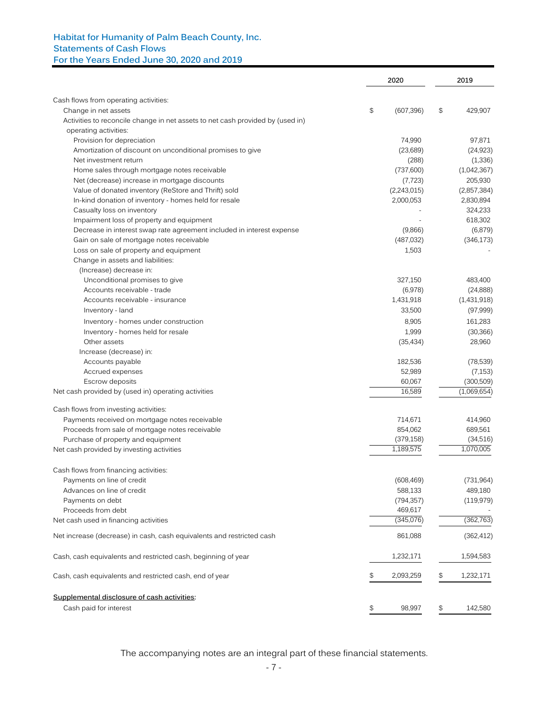## **Habitat for Humanity of Palm Beach County, Inc. Statements of Cash Flows For the Years Ended June 30, 2020 and 2019**

|                                                                                | 2020             |    | 2019        |
|--------------------------------------------------------------------------------|------------------|----|-------------|
|                                                                                |                  |    |             |
| Cash flows from operating activities:<br>Change in net assets                  | \$<br>(607, 396) | \$ | 429,907     |
| Activities to reconcile change in net assets to net cash provided by (used in) |                  |    |             |
| operating activities:                                                          |                  |    |             |
| Provision for depreciation                                                     | 74,990           |    | 97,871      |
| Amortization of discount on unconditional promises to give                     | (23, 689)        |    | (24, 923)   |
| Net investment return                                                          | (288)            |    | (1,336)     |
| Home sales through mortgage notes receivable                                   | (737,600)        |    | (1,042,367) |
| Net (decrease) increase in mortgage discounts                                  | (7, 723)         |    | 205,930     |
| Value of donated inventory (ReStore and Thrift) sold                           | (2,243,015)      |    | (2,857,384) |
| In-kind donation of inventory - homes held for resale                          | 2,000,053        |    | 2,830,894   |
| Casualty loss on inventory                                                     |                  |    | 324,233     |
| Impairment loss of property and equipment                                      |                  |    | 618,302     |
| Decrease in interest swap rate agreement included in interest expense          | (9,866)          |    | (6, 879)    |
| Gain on sale of mortgage notes receivable                                      | (487, 032)       |    | (346, 173)  |
| Loss on sale of property and equipment                                         | 1,503            |    |             |
| Change in assets and liabilities:                                              |                  |    |             |
|                                                                                |                  |    |             |
| (Increase) decrease in:                                                        |                  |    |             |
| Unconditional promises to give                                                 | 327,150          |    | 483,400     |
| Accounts receivable - trade                                                    | (6,978)          |    | (24, 888)   |
| Accounts receivable - insurance                                                | 1,431,918        |    | (1,431,918) |
| Inventory - land                                                               | 33,500           |    | (97,999)    |
| Inventory - homes under construction                                           | 8,905            |    | 161,283     |
| Inventory - homes held for resale                                              | 1,999            |    | (30, 366)   |
| Other assets                                                                   | (35, 434)        |    | 28,960      |
| Increase (decrease) in:                                                        |                  |    |             |
| Accounts payable                                                               | 182,536          |    | (78,539)    |
| Accrued expenses                                                               | 52,989           |    | (7, 153)    |
| Escrow deposits                                                                | 60,067           |    | (300, 509)  |
| Net cash provided by (used in) operating activities                            | 16,589           |    | (1,069,654) |
| Cash flows from investing activities:                                          |                  |    |             |
| Payments received on mortgage notes receivable                                 | 714,671          |    | 414,960     |
| Proceeds from sale of mortgage notes receivable                                | 854,062          |    | 689,561     |
| Purchase of property and equipment                                             | (379, 158)       |    | (34,516)    |
| Net cash provided by investing activities                                      | 1,189,575        |    | 1,070,005   |
| Cash flows from financing activities:                                          |                  |    |             |
| Payments on line of credit                                                     | (608, 469)       |    | (731,964)   |
| Advances on line of credit                                                     | 588,133          |    | 489,180     |
| Payments on debt                                                               | (794, 357)       |    | (119, 979)  |
| Proceeds from debt                                                             | 469,617          |    |             |
| Net cash used in financing activities                                          | (345,076)        |    | (362, 763)  |
| Net increase (decrease) in cash, cash equivalents and restricted cash          | 861,088          |    | (362, 412)  |
|                                                                                |                  |    |             |
| Cash, cash equivalents and restricted cash, beginning of year                  | 1,232,171        |    | 1,594,583   |
| Cash, cash equivalents and restricted cash, end of year                        | \$<br>2,093,259  | \$ | 1,232,171   |
| Supplemental disclosure of cash activities:                                    |                  |    |             |
| Cash paid for interest                                                         | \$<br>98,997     | \$ | 142,580     |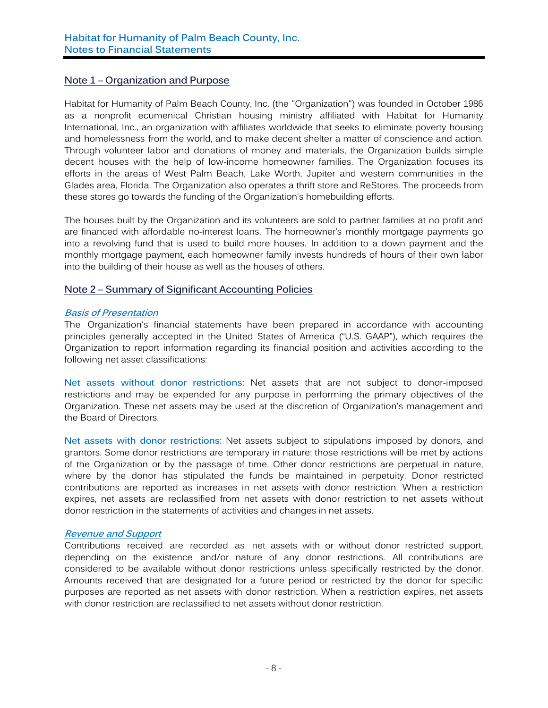## **Note 1 – Organization and Purpose**

Habitat for Humanity of Palm Beach County, Inc. (the "Organization") was founded in October 1986 as a nonprofit ecumenical Christian housing ministry affiliated with Habitat for Humanity International, Inc., an organization with affiliates worldwide that seeks to eliminate poverty housing and homelessness from the world, and to make decent shelter a matter of conscience and action. Through volunteer labor and donations of money and materials, the Organization builds simple decent houses with the help of low-income homeowner families. The Organization focuses its efforts in the areas of West Palm Beach, Lake Worth, Jupiter and western communities in the Glades area, Florida. The Organization also operates a thrift store and ReStores. The proceeds from these stores go towards the funding of the Organization's homebuilding efforts.

The houses built by the Organization and its volunteers are sold to partner families at no profit and are financed with affordable no-interest loans. The homeowner's monthly mortgage payments go into a revolving fund that is used to build more houses. In addition to a down payment and the monthly mortgage payment, each homeowner family invests hundreds of hours of their own labor into the building of their house as well as the houses of others.

## **Note 2 – Summary of Significant Accounting Policies**

#### **Basis of Presentation**

The Organization's financial statements have been prepared in accordance with accounting principles generally accepted in the United States of America ("U.S. GAAP"), which requires the Organization to report information regarding its financial position and activities according to the following net asset classifications:

**Net assets without donor restrictions:** Net assets that are not subject to donor-imposed restrictions and may be expended for any purpose in performing the primary objectives of the Organization. These net assets may be used at the discretion of Organization's management and the Board of Directors.

**Net assets with donor restrictions:** Net assets subject to stipulations imposed by donors, and grantors. Some donor restrictions are temporary in nature; those restrictions will be met by actions of the Organization or by the passage of time. Other donor restrictions are perpetual in nature, where by the donor has stipulated the funds be maintained in perpetuity. Donor restricted contributions are reported as increases in net assets with donor restriction. When a restriction expires, net assets are reclassified from net assets with donor restriction to net assets without donor restriction in the statements of activities and changes in net assets.

#### **Revenue and Support**

Contributions received are recorded as net assets with or without donor restricted support, depending on the existence and/or nature of any donor restrictions. All contributions are considered to be available without donor restrictions unless specifically restricted by the donor. Amounts received that are designated for a future period or restricted by the donor for specific purposes are reported as net assets with donor restriction. When a restriction expires, net assets with donor restriction are reclassified to net assets without donor restriction.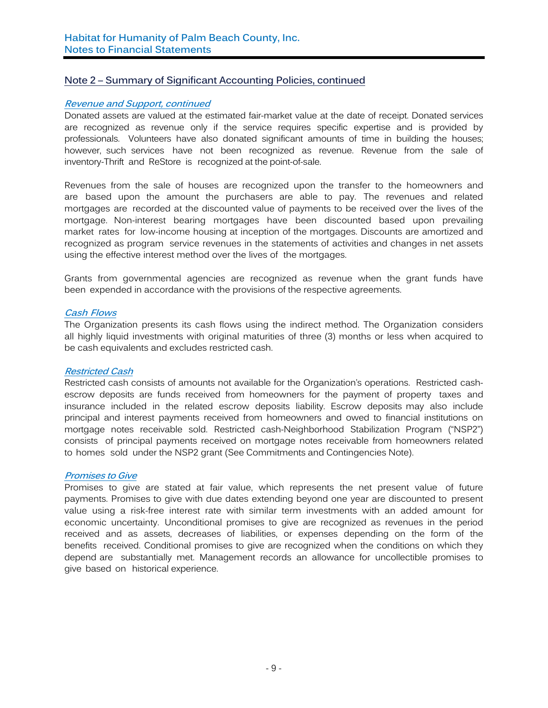#### **Revenue and Support, continued**

Donated assets are valued at the estimated fair-market value at the date of receipt. Donated services are recognized as revenue only if the service requires specific expertise and is provided by professionals. Volunteers have also donated significant amounts of time in building the houses; however, such services have not been recognized as revenue. Revenue from the sale of inventory-Thrift and ReStore is recognized at the point-of-sale.

Revenues from the sale of houses are recognized upon the transfer to the homeowners and are based upon the amount the purchasers are able to pay. The revenues and related mortgages are recorded at the discounted value of payments to be received over the lives of the mortgage. Non-interest bearing mortgages have been discounted based upon prevailing market rates for low-income housing at inception of the mortgages. Discounts are amortized and recognized as program service revenues in the statements of activities and changes in net assets using the effective interest method over the lives of the mortgages.

Grants from governmental agencies are recognized as revenue when the grant funds have been expended in accordance with the provisions of the respective agreements.

#### **Cash Flows**

The Organization presents its cash flows using the indirect method. The Organization considers all highly liquid investments with original maturities of three (3) months or less when acquired to be cash equivalents and excludes restricted cash.

#### **Restricted Cash**

Restricted cash consists of amounts not available for the Organization's operations. Restricted cashescrow deposits are funds received from homeowners for the payment of property taxes and insurance included in the related escrow deposits liability. Escrow deposits may also include principal and interest payments received from homeowners and owed to financial institutions on mortgage notes receivable sold. Restricted cash-Neighborhood Stabilization Program ("NSP2") consists of principal payments received on mortgage notes receivable from homeowners related to homes sold under the NSP2 grant (See Commitments and Contingencies Note).

#### **Promises to Give**

Promises to give are stated at fair value, which represents the net present value of future payments. Promises to give with due dates extending beyond one year are discounted to present value using a risk-free interest rate with similar term investments with an added amount for economic uncertainty. Unconditional promises to give are recognized as revenues in the period received and as assets, decreases of liabilities, or expenses depending on the form of the benefits received. Conditional promises to give are recognized when the conditions on which they depend are substantially met. Management records an allowance for uncollectible promises to give based on historical experience.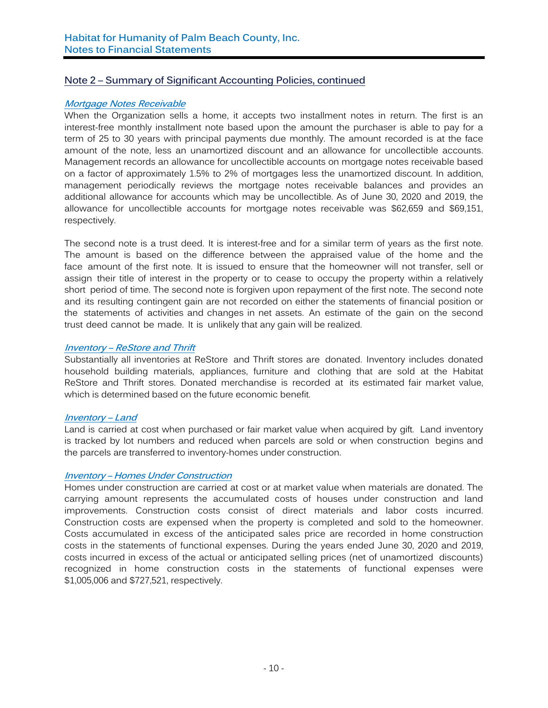#### **Mortgage Notes Receivable**

When the Organization sells a home, it accepts two installment notes in return. The first is an interest-free monthly installment note based upon the amount the purchaser is able to pay for a term of 25 to 30 years with principal payments due monthly. The amount recorded is at the face amount of the note, less an unamortized discount and an allowance for uncollectible accounts. Management records an allowance for uncollectible accounts on mortgage notes receivable based on a factor of approximately 1.5% to 2% of mortgages less the unamortized discount. In addition, management periodically reviews the mortgage notes receivable balances and provides an additional allowance for accounts which may be uncollectible. As of June 30, 2020 and 2019, the allowance for uncollectible accounts for mortgage notes receivable was \$62,659 and \$69,151, respectively.

The second note is a trust deed. It is interest-free and for a similar term of years as the first note. The amount is based on the difference between the appraised value of the home and the face amount of the first note. It is issued to ensure that the homeowner will not transfer, sell or assign their title of interest in the property or to cease to occupy the property within a relatively short period of time. The second note is forgiven upon repayment of the first note. The second note and its resulting contingent gain are not recorded on either the statements of financial position or the statements of activities and changes in net assets. An estimate of the gain on the second trust deed cannot be made. It is unlikely that any gain will be realized.

## **Inventory – ReStore and Thrift**

Substantially all inventories at ReStore and Thrift stores are donated. Inventory includes donated household building materials, appliances, furniture and clothing that are sold at the Habitat ReStore and Thrift stores. Donated merchandise is recorded at its estimated fair market value, which is determined based on the future economic benefit.

#### **Inventory – Land**

Land is carried at cost when purchased or fair market value when acquired by gift. Land inventory is tracked by lot numbers and reduced when parcels are sold or when construction begins and the parcels are transferred to inventory-homes under construction.

#### **Inventory – Homes Under Construction**

Homes under construction are carried at cost or at market value when materials are donated. The carrying amount represents the accumulated costs of houses under construction and land improvements. Construction costs consist of direct materials and labor costs incurred. Construction costs are expensed when the property is completed and sold to the homeowner. Costs accumulated in excess of the anticipated sales price are recorded in home construction costs in the statements of functional expenses. During the years ended June 30, 2020 and 2019, costs incurred in excess of the actual or anticipated selling prices (net of unamortized discounts) recognized in home construction costs in the statements of functional expenses were \$1,005,006 and \$727,521, respectively.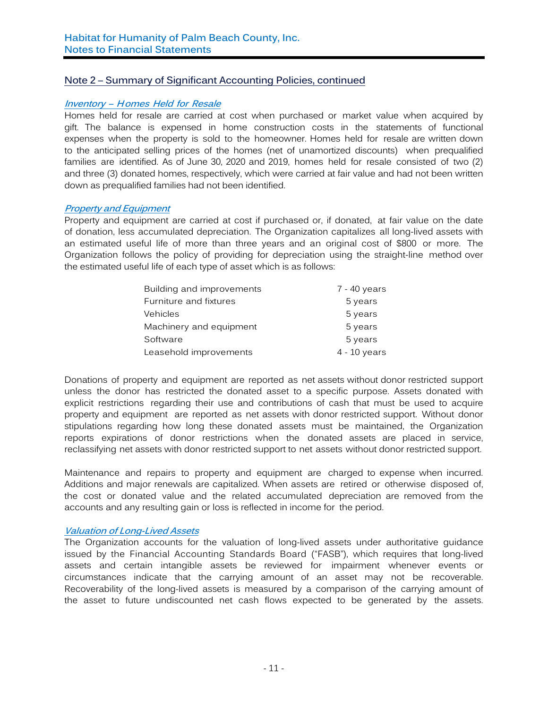#### **Inventory – Homes Held for Resale**

Homes held for resale are carried at cost when purchased or market value when acquired by gift. The balance is expensed in home construction costs in the statements of functional expenses when the property is sold to the homeowner. Homes held for resale are written down to the anticipated selling prices of the homes (net of unamortized discounts) when prequalified families are identified. As of June 30, 2020 and 2019, homes held for resale consisted of two (2) and three (3) donated homes, respectively, which were carried at fair value and had not been written down as prequalified families had not been identified.

#### **Property and Equipment**

Property and equipment are carried at cost if purchased or, if donated, at fair value on the date of donation, less accumulated depreciation. The Organization capitalizes all long-lived assets with an estimated useful life of more than three years and an original cost of \$800 or more. The Organization follows the policy of providing for depreciation using the straight-line method over the estimated useful life of each type of asset which is as follows:

| Building and improvements | 7 - 40 years   |
|---------------------------|----------------|
| Furniture and fixtures    | 5 years        |
| Vehicles                  | 5 years        |
| Machinery and equipment   | 5 years        |
| Software                  | 5 years        |
| Leasehold improvements    | $4 - 10$ years |

Donations of property and equipment are reported as net assets without donor restricted support unless the donor has restricted the donated asset to a specific purpose. Assets donated with explicit restrictions regarding their use and contributions of cash that must be used to acquire property and equipment are reported as net assets with donor restricted support. Without donor stipulations regarding how long these donated assets must be maintained, the Organization reports expirations of donor restrictions when the donated assets are placed in service, reclassifying net assets with donor restricted support to net assets without donor restricted support.

Maintenance and repairs to property and equipment are charged to expense when incurred. Additions and major renewals are capitalized. When assets are retired or otherwise disposed of, the cost or donated value and the related accumulated depreciation are removed from the accounts and any resulting gain or loss is reflected in income for the period.

#### **Valuation of Long-Lived Assets**

The Organization accounts for the valuation of long-lived assets under authoritative guidance issued by the Financial Accounting Standards Board ("FASB"), which requires that long-lived assets and certain intangible assets be reviewed for impairment whenever events or circumstances indicate that the carrying amount of an asset may not be recoverable. Recoverability of the long-lived assets is measured by a comparison of the carrying amount of the asset to future undiscounted net cash flows expected to be generated by the assets.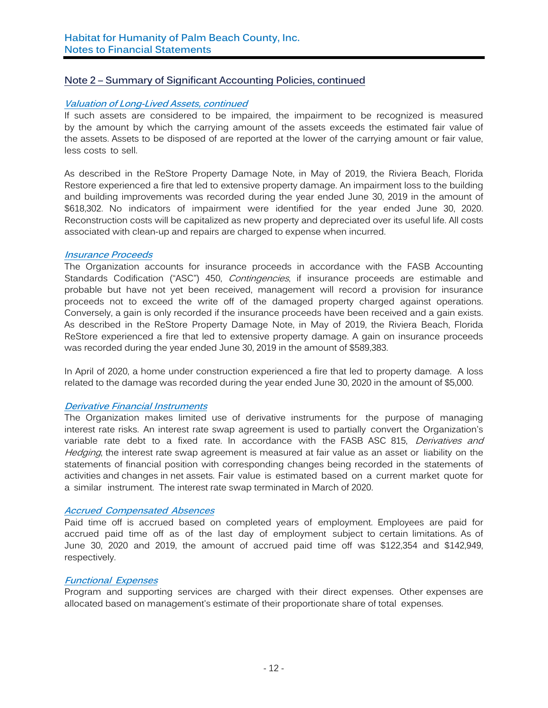#### **Valuation of Long-Lived Assets, continued**

If such assets are considered to be impaired, the impairment to be recognized is measured by the amount by which the carrying amount of the assets exceeds the estimated fair value of the assets. Assets to be disposed of are reported at the lower of the carrying amount or fair value, less costs to sell.

As described in the ReStore Property Damage Note, in May of 2019, the Riviera Beach, Florida Restore experienced a fire that led to extensive property damage. An impairment loss to the building and building improvements was recorded during the year ended June 30, 2019 in the amount of \$618,302. No indicators of impairment were identified for the year ended June 30, 2020. Reconstruction costs will be capitalized as new property and depreciated over its useful life. All costs associated with clean-up and repairs are charged to expense when incurred.

#### **Insurance Proceeds**

The Organization accounts for insurance proceeds in accordance with the FASB Accounting Standards Codification ("ASC") 450, *Contingencies*, if insurance proceeds are estimable and probable but have not yet been received, management will record a provision for insurance proceeds not to exceed the write off of the damaged property charged against operations. Conversely, a gain is only recorded if the insurance proceeds have been received and a gain exists. As described in the ReStore Property Damage Note, in May of 2019, the Riviera Beach, Florida ReStore experienced a fire that led to extensive property damage. A gain on insurance proceeds was recorded during the year ended June 30, 2019 in the amount of \$589,383.

In April of 2020, a home under construction experienced a fire that led to property damage. A loss related to the damage was recorded during the year ended June 30, 2020 in the amount of \$5,000.

#### **Derivative Financial Instruments**

The Organization makes limited use of derivative instruments for the purpose of managing interest rate risks. An interest rate swap agreement is used to partially convert the Organization's variable rate debt to a fixed rate. In accordance with the FASB ASC 815, *Derivatives and* Hedging, the interest rate swap agreement is measured at fair value as an asset or liability on the statements of financial position with corresponding changes being recorded in the statements of activities and changes in net assets. Fair value is estimated based on a current market quote for a similar instrument. The interest rate swap terminated in March of 2020.

#### **Accrued Compensated Absences**

Paid time off is accrued based on completed years of employment. Employees are paid for accrued paid time off as of the last day of employment subject to certain limitations. As of June 30, 2020 and 2019, the amount of accrued paid time off was \$122,354 and \$142,949, respectively.

## **Functional Expenses**

Program and supporting services are charged with their direct expenses. Other expenses are allocated based on management's estimate of their proportionate share of total expenses.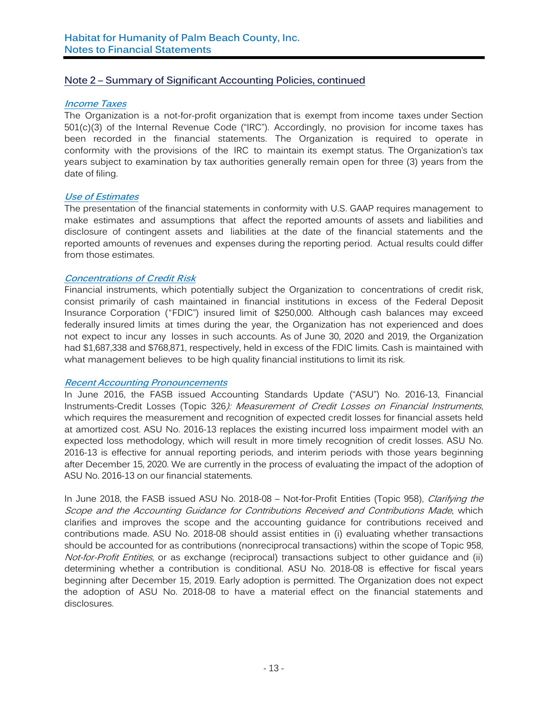#### **Income Taxes**

The Organization is a not-for-profit organization that is exempt from income taxes under Section 501(c)(3) of the Internal Revenue Code ("IRC"). Accordingly, no provision for income taxes has been recorded in the financial statements. The Organization is required to operate in conformity with the provisions of the IRC to maintain its exempt status. The Organization's tax years subject to examination by tax authorities generally remain open for three (3) years from the date of filing.

## **Use of Estimates**

The presentation of the financial statements in conformity with U.S. GAAP requires management to make estimates and assumptions that affect the reported amounts of assets and liabilities and disclosure of contingent assets and liabilities at the date of the financial statements and the reported amounts of revenues and expenses during the reporting period. Actual results could differ from those estimates.

#### **Concentrations of Credit Risk**

Financial instruments, which potentially subject the Organization to concentrations of credit risk, consist primarily of cash maintained in financial institutions in excess of the Federal Deposit Insurance Corporation ("FDIC") insured limit of \$250,000. Although cash balances may exceed federally insured limits at times during the year, the Organization has not experienced and does not expect to incur any losses in such accounts. As of June 30, 2020 and 2019, the Organization had \$1,687,338 and \$768,871, respectively, held in excess of the FDIC limits. Cash is maintained with what management believes to be high quality financial institutions to limit its risk.

#### **Recent Accounting Pronouncements**

In June 2016, the FASB issued Accounting Standards Update ("ASU") No. 2016-13, Financial Instruments-Credit Losses (Topic 326): Measurement of Credit Losses on Financial Instruments, which requires the measurement and recognition of expected credit losses for financial assets held at amortized cost. ASU No. 2016-13 replaces the existing incurred loss impairment model with an expected loss methodology, which will result in more timely recognition of credit losses. ASU No. 2016-13 is effective for annual reporting periods, and interim periods with those years beginning after December 15, 2020. We are currently in the process of evaluating the impact of the adoption of ASU No. 2016-13 on our financial statements.

In June 2018, the FASB issued ASU No. 2018-08 - Not-for-Profit Entities (Topic 958), Clarifying the Scope and the Accounting Guidance for Contributions Received and Contributions Made, which clarifies and improves the scope and the accounting guidance for contributions received and contributions made. ASU No. 2018-08 should assist entities in (i) evaluating whether transactions should be accounted for as contributions (nonreciprocal transactions) within the scope of Topic 958, Not-for-Profit Entities, or as exchange (reciprocal) transactions subject to other guidance and (ii) determining whether a contribution is conditional. ASU No. 2018-08 is effective for fiscal years beginning after December 15, 2019. Early adoption is permitted. The Organization does not expect the adoption of ASU No. 2018-08 to have a material effect on the financial statements and disclosures.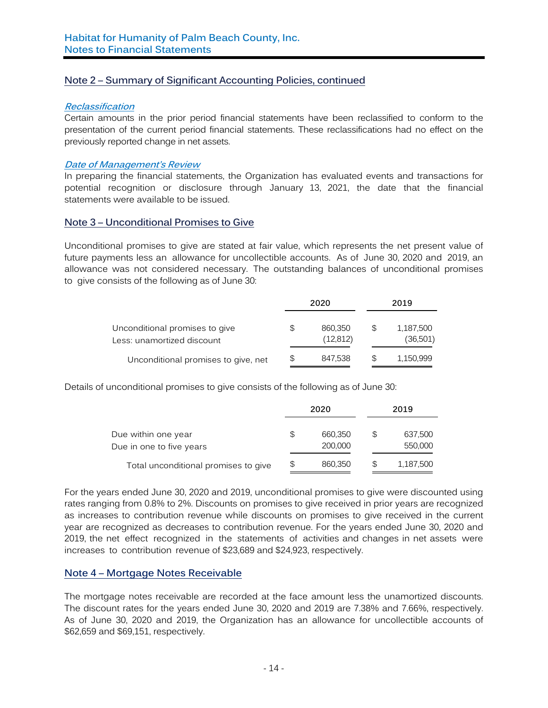#### **Reclassification**

Certain amounts in the prior period financial statements have been reclassified to conform to the presentation of the current period financial statements. These reclassifications had no effect on the previously reported change in net assets.

## **Date of Management's Review**

In preparing the financial statements, the Organization has evaluated events and transactions for potential recognition or disclosure through January 13, 2021, the date that the financial statements were available to be issued.

## **Note 3 – Unconditional Promises to Give**

Unconditional promises to give are stated at fair value, which represents the net present value of future payments less an allowance for uncollectible accounts. As of June 30, 2020 and 2019, an allowance was not considered necessary. The outstanding balances of unconditional promises to give consists of the following as of June 30:

|                                                              |   | 2020                 |   | 2019                  |
|--------------------------------------------------------------|---|----------------------|---|-----------------------|
| Unconditional promises to give<br>Less: unamortized discount | S | 860.350<br>(12, 812) | S | 1,187,500<br>(36,501) |
| Unconditional promises to give, net                          | S | 847.538              | S | 1,150,999             |

Details of unconditional promises to give consists of the following as of June 30:

|                                                 | 2020 |                    |    | 2019               |
|-------------------------------------------------|------|--------------------|----|--------------------|
| Due within one year<br>Due in one to five years | S    | 660,350<br>200,000 | S  | 637,500<br>550,000 |
| Total unconditional promises to give            |      | 860,350            | \$ | 1,187,500          |

For the years ended June 30, 2020 and 2019, unconditional promises to give were discounted using rates ranging from 0.8% to 2%. Discounts on promises to give received in prior years are recognized as increases to contribution revenue while discounts on promises to give received in the current year are recognized as decreases to contribution revenue. For the years ended June 30, 2020 and 2019, the net effect recognized in the statements of activities and changes in net assets were increases to contribution revenue of \$23,689 and \$24,923, respectively.

## **Note 4 – Mortgage Notes Receivable**

The mortgage notes receivable are recorded at the face amount less the unamortized discounts. The discount rates for the years ended June 30, 2020 and 2019 are 7.38% and 7.66%, respectively. As of June 30, 2020 and 2019, the Organization has an allowance for uncollectible accounts of \$62,659 and \$69,151, respectively.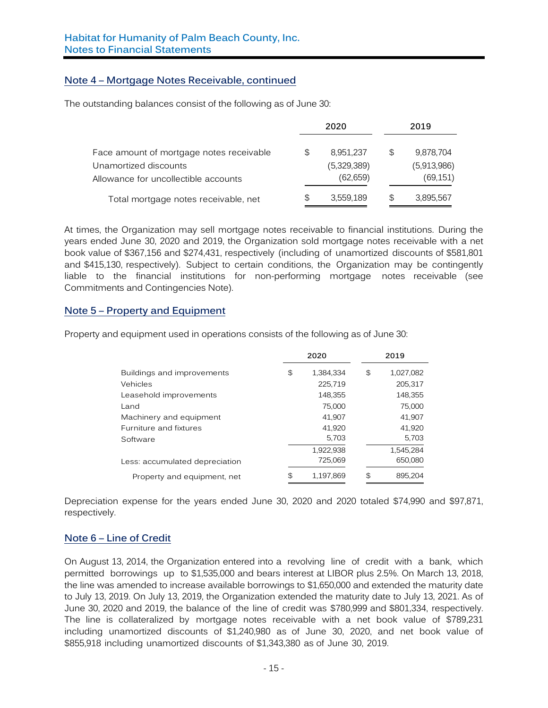## **Note 4 – Mortgage Notes Receivable, continued**

The outstanding balances consist of the following as of June 30:

|                                                               | 2020                    |   | 2019                     |
|---------------------------------------------------------------|-------------------------|---|--------------------------|
| Face amount of mortgage notes receivable                      | \$<br>8.951.237         | S | 9,878,704                |
| Unamortized discounts<br>Allowance for uncollectible accounts | (5,329,389)<br>(62,659) |   | (5,913,986)<br>(69, 151) |
| Total mortgage notes receivable, net                          | \$<br>3,559,189         | S | 3,895,567                |

At times, the Organization may sell mortgage notes receivable to financial institutions. During the years ended June 30, 2020 and 2019, the Organization sold mortgage notes receivable with a net book value of \$367,156 and \$274,431, respectively (including of unamortized discounts of \$581,801 and \$415,130, respectively). Subject to certain conditions, the Organization may be contingently liable to the financial institutions for non-performing mortgage notes receivable (see Commitments and Contingencies Note).

## **Note 5 – Property and Equipment**

Property and equipment used in operations consists of the following as of June 30:

|                                | 2020 |           |     |           |  |  |  |  |  |  |  | 2019 |
|--------------------------------|------|-----------|-----|-----------|--|--|--|--|--|--|--|------|
| Buildings and improvements     | \$   | 1,384,334 | \$  | 1,027,082 |  |  |  |  |  |  |  |      |
| Vehicles                       |      | 225,719   |     | 205,317   |  |  |  |  |  |  |  |      |
| Leasehold improvements         |      | 148,355   |     | 148,355   |  |  |  |  |  |  |  |      |
| Land                           |      | 75,000    |     | 75,000    |  |  |  |  |  |  |  |      |
| Machinery and equipment        |      | 41,907    |     | 41,907    |  |  |  |  |  |  |  |      |
| Furniture and fixtures         |      | 41,920    |     | 41,920    |  |  |  |  |  |  |  |      |
| Software                       |      | 5,703     |     | 5,703     |  |  |  |  |  |  |  |      |
|                                |      | 1,922,938 |     | 1,545,284 |  |  |  |  |  |  |  |      |
| Less: accumulated depreciation |      | 725,069   |     | 650,080   |  |  |  |  |  |  |  |      |
| Property and equipment, net    | \$   | 1,197,869 | \$. | 895,204   |  |  |  |  |  |  |  |      |

Depreciation expense for the years ended June 30, 2020 and 2020 totaled \$74,990 and \$97,871, respectively.

## **Note 6 – Line of Credit**

On August 13, 2014, the Organization entered into a revolving line of credit with a bank, which permitted borrowings up to \$1,535,000 and bears interest at LIBOR plus 2.5%. On March 13, 2018, the line was amended to increase available borrowings to \$1,650,000 and extended the maturity date to July 13, 2019. On July 13, 2019, the Organization extended the maturity date to July 13, 2021. As of June 30, 2020 and 2019, the balance of the line of credit was \$780,999 and \$801,334, respectively. The line is collateralized by mortgage notes receivable with a net book value of \$789,231 including unamortized discounts of \$1,240,980 as of June 30, 2020, and net book value of \$855,918 including unamortized discounts of \$1,343,380 as of June 30, 2019.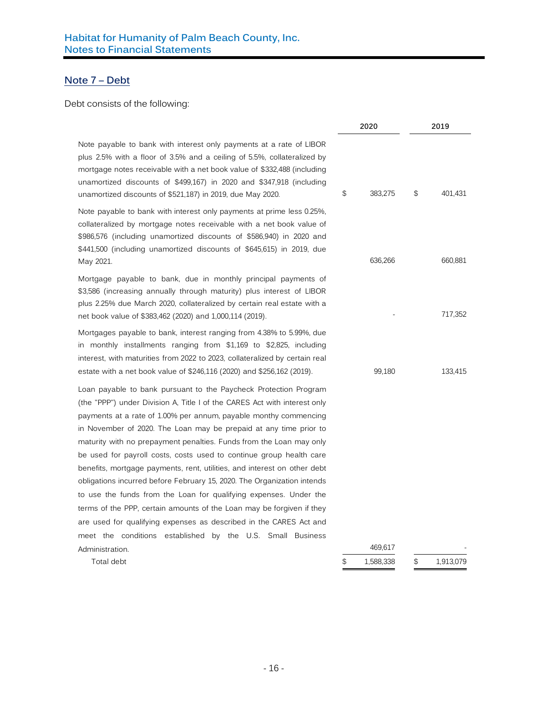## **Note 7 – Debt**

## Debt consists of the following:

|                                                                                                                                                                                                                                                                                                                                                                                                                                                                                                                                                                                                                                                                                                                                                                                                                                                                               | 2020            | 2019            |
|-------------------------------------------------------------------------------------------------------------------------------------------------------------------------------------------------------------------------------------------------------------------------------------------------------------------------------------------------------------------------------------------------------------------------------------------------------------------------------------------------------------------------------------------------------------------------------------------------------------------------------------------------------------------------------------------------------------------------------------------------------------------------------------------------------------------------------------------------------------------------------|-----------------|-----------------|
| Note payable to bank with interest only payments at a rate of LIBOR<br>plus 2.5% with a floor of 3.5% and a ceiling of 5.5%, collateralized by<br>mortgage notes receivable with a net book value of \$332,488 (including<br>unamortized discounts of \$499,167) in 2020 and \$347,918 (including<br>unamortized discounts of \$521,187) in 2019, due May 2020.                                                                                                                                                                                                                                                                                                                                                                                                                                                                                                               | \$<br>383,275   | \$<br>401,431   |
| Note payable to bank with interest only payments at prime less 0.25%,<br>collateralized by mortgage notes receivable with a net book value of<br>\$986,576 (including unamortized discounts of \$586,940) in 2020 and<br>\$441,500 (including unamortized discounts of \$645,615) in 2019, due<br>May 2021.                                                                                                                                                                                                                                                                                                                                                                                                                                                                                                                                                                   | 636,266         | 660,881         |
| Mortgage payable to bank, due in monthly principal payments of<br>\$3,586 (increasing annually through maturity) plus interest of LIBOR<br>plus 2.25% due March 2020, collateralized by certain real estate with a<br>net book value of \$383,462 (2020) and 1,000,114 (2019).                                                                                                                                                                                                                                                                                                                                                                                                                                                                                                                                                                                                |                 | 717,352         |
| Mortgages payable to bank, interest ranging from 4.38% to 5.99%, due<br>in monthly installments ranging from \$1,169 to \$2,825, including<br>interest, with maturities from 2022 to 2023, collateralized by certain real<br>estate with a net book value of \$246,116 (2020) and \$256,162 (2019).                                                                                                                                                                                                                                                                                                                                                                                                                                                                                                                                                                           | 99,180          | 133,415         |
| Loan payable to bank pursuant to the Paycheck Protection Program<br>(the "PPP") under Division A, Title I of the CARES Act with interest only<br>payments at a rate of 1.00% per annum, payable monthy commencing<br>in November of 2020. The Loan may be prepaid at any time prior to<br>maturity with no prepayment penalties. Funds from the Loan may only<br>be used for payroll costs, costs used to continue group health care<br>benefits, mortgage payments, rent, utilities, and interest on other debt<br>obligations incurred before February 15, 2020. The Organization intends<br>to use the funds from the Loan for qualifying expenses. Under the<br>terms of the PPP, certain amounts of the Loan may be forgiven if they<br>are used for qualifying expenses as described in the CARES Act and<br>meet the conditions established by the U.S. Small Business |                 |                 |
| Administration.                                                                                                                                                                                                                                                                                                                                                                                                                                                                                                                                                                                                                                                                                                                                                                                                                                                               | 469,617         |                 |
| Total debt                                                                                                                                                                                                                                                                                                                                                                                                                                                                                                                                                                                                                                                                                                                                                                                                                                                                    | \$<br>1,588,338 | \$<br>1,913,079 |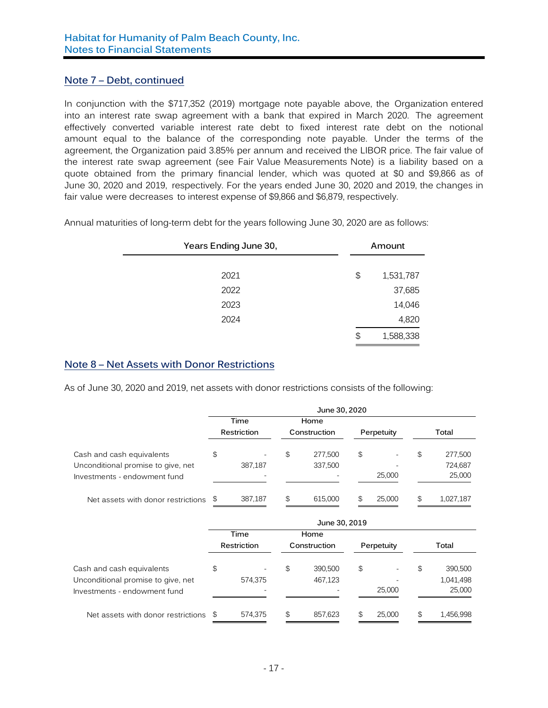## **Note 7 – Debt, continued**

In conjunction with the \$717,352 (2019) mortgage note payable above, the Organization entered into an interest rate swap agreement with a bank that expired in March 2020. The agreement effectively converted variable interest rate debt to fixed interest rate debt on the notional amount equal to the balance of the corresponding note payable. Under the terms of the agreement, the Organization paid 3.85% per annum and received the LIBOR price. The fair value of the interest rate swap agreement (see Fair Value Measurements Note) is a liability based on a quote obtained from the primary financial lender, which was quoted at \$0 and \$9,866 as of June 30, 2020 and 2019, respectively. For the years ended June 30, 2020 and 2019, the changes in fair value were decreases to interest expense of \$9,866 and \$6,879, respectively.

Annual maturities of long-term debt for the years following June 30, 2020 are as follows:

| Years Ending June 30, |    | Amount    |
|-----------------------|----|-----------|
|                       |    |           |
| 2021                  | \$ | 1,531,787 |
| 2022                  |    | 37,685    |
| 2023                  |    | 14,046    |
| 2024                  |    | 4,820     |
|                       | \$ | 1,588,338 |

## **Note 8 – Net Assets with Donor Restrictions**

As of June 30, 2020 and 2019, net assets with donor restrictions consists of the following:

|                                    | June 30, 2020 |             |              |         |            |        |       |           |
|------------------------------------|---------------|-------------|--------------|---------|------------|--------|-------|-----------|
|                                    |               | Time        |              | Home    |            |        |       |           |
|                                    |               | Restriction | Construction |         | Perpetuity |        | Total |           |
| Cash and cash equivalents          | \$            |             | \$           | 277.500 | \$         |        | \$    | 277,500   |
| Unconditional promise to give, net |               | 387,187     |              | 337,500 |            |        |       | 724,687   |
| Investments - endowment fund       |               |             |              |         |            | 25,000 |       | 25,000    |
| Net assets with donor restrictions | - \$          | 387,187     | \$           | 615,000 | \$         | 25,000 | \$    | 1,027,187 |

|                                    | June 30, 2019 |             |              |         |            |        |       |           |
|------------------------------------|---------------|-------------|--------------|---------|------------|--------|-------|-----------|
|                                    | Time          |             | Home         |         |            |        |       |           |
|                                    |               | Restriction | Construction |         | Perpetuity |        | Total |           |
| Cash and cash equivalents          | \$            | ۰           | \$           | 390,500 | \$         | ۰.     | \$    | 390,500   |
| Unconditional promise to give, net |               | 574.375     |              | 467,123 |            |        |       | 1,041,498 |
| Investments - endowment fund       |               |             |              |         |            | 25,000 |       | 25,000    |
| Net assets with donor restrictions | - SS          | 574,375     | \$           | 857,623 | S          | 25,000 | \$    | 1,456,998 |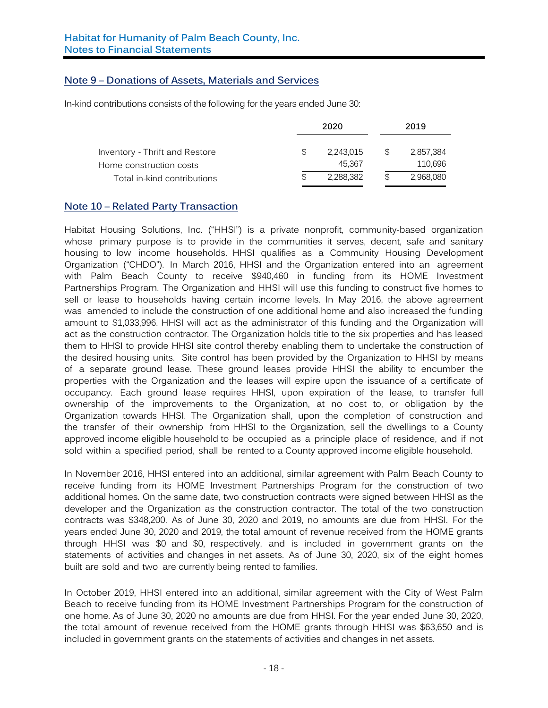## **Note 9 – Donations of Assets, Materials and Services**

In-kind contributions consists of the following for the years ended June 30:

|                                                           |     | 2020                |    | 2019                 |
|-----------------------------------------------------------|-----|---------------------|----|----------------------|
| Inventory - Thrift and Restore<br>Home construction costs | S.  | 2.243.015<br>45.367 | S. | 2,857,384<br>110,696 |
| Total in-kind contributions                               | \$. | 2,288,382           |    | 2,968,080            |

## **Note 10 – Related Party Transaction**

Habitat Housing Solutions, Inc. ("HHSI") is a private nonprofit, community-based organization whose primary purpose is to provide in the communities it serves, decent, safe and sanitary housing to low income households. HHSI qualifies as a Community Housing Development Organization ("CHDO"). In March 2016, HHSI and the Organization entered into an agreement with Palm Beach County to receive \$940,460 in funding from its HOME Investment Partnerships Program. The Organization and HHSI will use this funding to construct five homes to sell or lease to households having certain income levels. In May 2016, the above agreement was amended to include the construction of one additional home and also increased the funding amount to \$1,033,996. HHSI will act as the administrator of this funding and the Organization will act as the construction contractor. The Organization holds title to the six properties and has leased them to HHSI to provide HHSI site control thereby enabling them to undertake the construction of the desired housing units. Site control has been provided by the Organization to HHSI by means of a separate ground lease. These ground leases provide HHSI the ability to encumber the properties with the Organization and the leases will expire upon the issuance of a certificate of occupancy. Each ground lease requires HHSI, upon expiration of the lease, to transfer full ownership of the improvements to the Organization, at no cost to, or obligation by the Organization towards HHSI. The Organization shall, upon the completion of construction and the transfer of their ownership from HHSI to the Organization, sell the dwellings to a County approved income eligible household to be occupied as a principle place of residence, and if not sold within a specified period, shall be rented to a County approved income eligible household.

In November 2016, HHSI entered into an additional, similar agreement with Palm Beach County to receive funding from its HOME Investment Partnerships Program for the construction of two additional homes. On the same date, two construction contracts were signed between HHSI as the developer and the Organization as the construction contractor. The total of the two construction contracts was \$348,200. As of June 30, 2020 and 2019, no amounts are due from HHSI. For the years ended June 30, 2020 and 2019, the total amount of revenue received from the HOME grants through HHSI was \$0 and \$0, respectively, and is included in government grants on the statements of activities and changes in net assets. As of June 30, 2020, six of the eight homes built are sold and two are currently being rented to families.

In October 2019, HHSI entered into an additional, similar agreement with the City of West Palm Beach to receive funding from its HOME Investment Partnerships Program for the construction of one home. As of June 30, 2020 no amounts are due from HHSI. For the year ended June 30, 2020, the total amount of revenue received from the HOME grants through HHSI was \$63,650 and is included in government grants on the statements of activities and changes in net assets.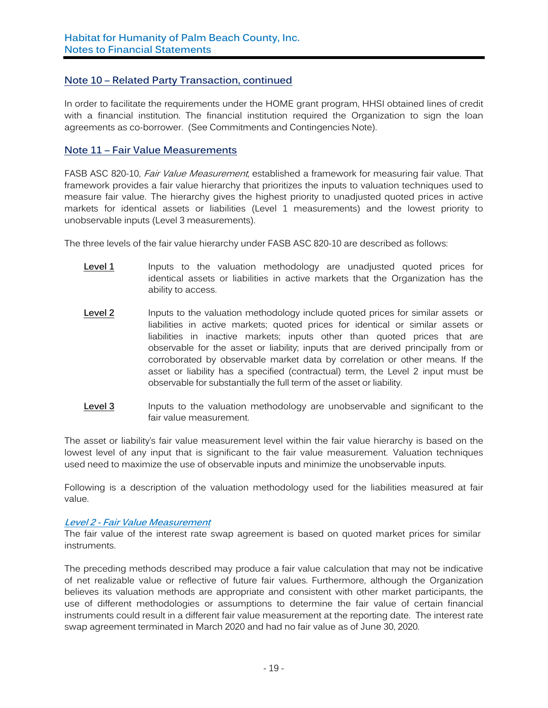## **Note 10 – Related Party Transaction, continued**

In order to facilitate the requirements under the HOME grant program, HHSI obtained lines of credit with a financial institution. The financial institution required the Organization to sign the loan agreements as co-borrower. (See Commitments and Contingencies Note).

## **Note 11 – Fair Value Measurements**

FASB ASC 820-10, *Fair Value Measurement*, established a framework for measuring fair value. That framework provides a fair value hierarchy that prioritizes the inputs to valuation techniques used to measure fair value. The hierarchy gives the highest priority to unadjusted quoted prices in active markets for identical assets or liabilities (Level 1 measurements) and the lowest priority to unobservable inputs (Level 3 measurements).

The three levels of the fair value hierarchy under FASB ASC 820-10 are described as follows:

- Level 1 Inputs to the valuation methodology are unadjusted quoted prices for identical assets or liabilities in active markets that the Organization has the ability to access.
- **Level 2** Inputs to the valuation methodology include quoted prices for similar assets or liabilities in active markets; quoted prices for identical or similar assets or liabilities in inactive markets; inputs other than quoted prices that are observable for the asset or liability; inputs that are derived principally from or corroborated by observable market data by correlation or other means. If the asset or liability has a specified (contractual) term, the Level 2 input must be observable for substantially the full term of the asset or liability.
- **Level 3** Inputs to the valuation methodology are unobservable and significant to the fair value measurement.

The asset or liability's fair value measurement level within the fair value hierarchy is based on the lowest level of any input that is significant to the fair value measurement. Valuation techniques used need to maximize the use of observable inputs and minimize the unobservable inputs.

Following is a description of the valuation methodology used for the liabilities measured at fair value.

#### **Level 2 - Fair Value Measurement**

The fair value of the interest rate swap agreement is based on quoted market prices for similar instruments.

The preceding methods described may produce a fair value calculation that may not be indicative of net realizable value or reflective of future fair values. Furthermore, although the Organization believes its valuation methods are appropriate and consistent with other market participants, the use of different methodologies or assumptions to determine the fair value of certain financial instruments could result in a different fair value measurement at the reporting date. The interest rate swap agreement terminated in March 2020 and had no fair value as of June 30, 2020.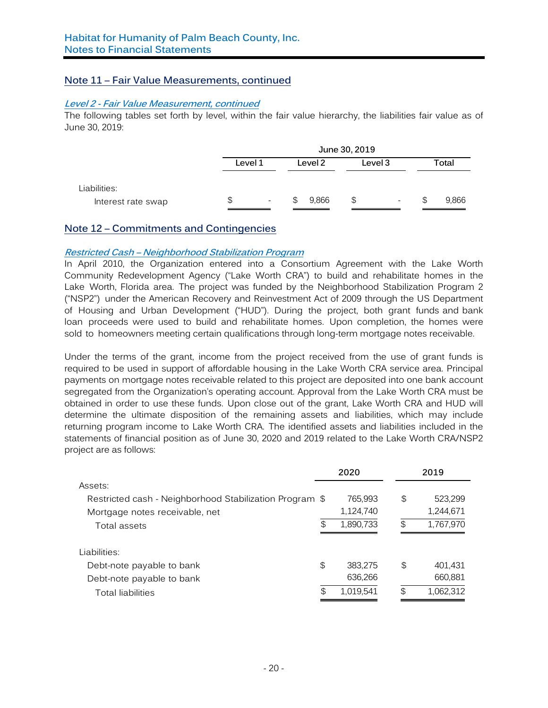## **Note 11 – Fair Value Measurements, continued**

#### **Level 2 - Fair Value Measurement, continued**

The following tables set forth by level, within the fair value hierarchy, the liabilities fair value as of June 30, 2019:

|                                    | June 30, 2019 |                          |   |         |    |                          |    |       |
|------------------------------------|---------------|--------------------------|---|---------|----|--------------------------|----|-------|
|                                    | Level 1       |                          |   | Level 2 |    | Level 3                  |    | Total |
| Liabilities:<br>Interest rate swap | S             | $\overline{\phantom{a}}$ | S | 9,866   | \$ | $\overline{\phantom{0}}$ | \$ | 9,866 |

## **Note 12 – Commitments and Contingencies**

#### **Restricted Cash – Neighborhood Stabilization Program**

In April 2010, the Organization entered into a Consortium Agreement with the Lake Worth Community Redevelopment Agency ("Lake Worth CRA") to build and rehabilitate homes in the Lake Worth, Florida area. The project was funded by the Neighborhood Stabilization Program 2 ("NSP2") under the American Recovery and Reinvestment Act of 2009 through the US Department of Housing and Urban Development ("HUD"). During the project, both grant funds and bank loan proceeds were used to build and rehabilitate homes. Upon completion, the homes were sold to homeowners meeting certain qualifications through long-term mortgage notes receivable.

Under the terms of the grant, income from the project received from the use of grant funds is required to be used in support of affordable housing in the Lake Worth CRA service area. Principal payments on mortgage notes receivable related to this project are deposited into one bank account segregated from the Organization's operating account. Approval from the Lake Worth CRA must be obtained in order to use these funds. Upon close out of the grant, Lake Worth CRA and HUD will determine the ultimate disposition of the remaining assets and liabilities, which may include returning program income to Lake Worth CRA. The identified assets and liabilities included in the statements of financial position as of June 30, 2020 and 2019 related to the Lake Worth CRA/NSP2 project are as follows:

|                                                         |     | 2020      | 2019            |
|---------------------------------------------------------|-----|-----------|-----------------|
| Assets:                                                 |     |           |                 |
| Restricted cash - Neighborhood Stabilization Program \$ |     | 765,993   | \$<br>523,299   |
| Mortgage notes receivable, net                          |     | 1,124,740 | 1,244,671       |
| Total assets                                            | \$. | 1,890,733 | \$<br>1,767,970 |
|                                                         |     |           |                 |
| Liabilities:                                            |     |           |                 |
| Debt-note payable to bank                               | \$  | 383,275   | \$<br>401,431   |
| Debt-note payable to bank                               |     | 636,266   | 660,881         |
| <b>Total liabilities</b>                                | \$  | 1,019,541 | \$<br>1,062,312 |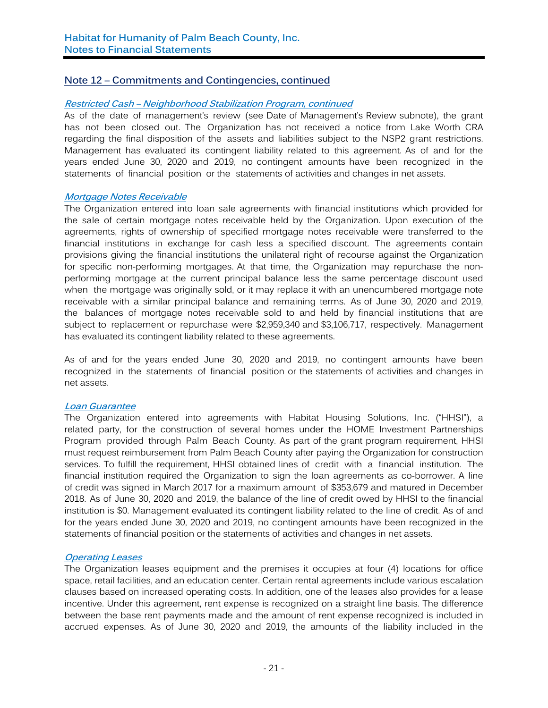## **Note 12 – Commitments and Contingencies, continued**

#### **Restricted Cash – Neighborhood Stabilization Program, continued**

As of the date of management's review (see Date of Management's Review subnote), the grant has not been closed out. The Organization has not received a notice from Lake Worth CRA regarding the final disposition of the assets and liabilities subject to the NSP2 grant restrictions. Management has evaluated its contingent liability related to this agreement. As of and for the years ended June 30, 2020 and 2019, no contingent amounts have been recognized in the statements of financial position or the statements of activities and changes in net assets.

## **Mortgage Notes Receivable**

The Organization entered into loan sale agreements with financial institutions which provided for the sale of certain mortgage notes receivable held by the Organization. Upon execution of the agreements, rights of ownership of specified mortgage notes receivable were transferred to the financial institutions in exchange for cash less a specified discount. The agreements contain provisions giving the financial institutions the unilateral right of recourse against the Organization for specific non-performing mortgages. At that time, the Organization may repurchase the nonperforming mortgage at the current principal balance less the same percentage discount used when the mortgage was originally sold, or it may replace it with an unencumbered mortgage note receivable with a similar principal balance and remaining terms. As of June 30, 2020 and 2019, the balances of mortgage notes receivable sold to and held by financial institutions that are subject to replacement or repurchase were \$2,959,340 and \$3,106,717, respectively. Management has evaluated its contingent liability related to these agreements.

As of and for the years ended June 30, 2020 and 2019, no contingent amounts have been recognized in the statements of financial position or the statements of activities and changes in net assets.

#### **Loan Guarantee**

The Organization entered into agreements with Habitat Housing Solutions, Inc. ("HHSI"), a related party, for the construction of several homes under the HOME Investment Partnerships Program provided through Palm Beach County. As part of the grant program requirement, HHSI must request reimbursement from Palm Beach County after paying the Organization for construction services. To fulfill the requirement, HHSI obtained lines of credit with a financial institution. The financial institution required the Organization to sign the loan agreements as co-borrower. A line of credit was signed in March 2017 for a maximum amount of \$353,679 and matured in December 2018. As of June 30, 2020 and 2019, the balance of the line of credit owed by HHSI to the financial institution is \$0. Management evaluated its contingent liability related to the line of credit. As of and for the years ended June 30, 2020 and 2019, no contingent amounts have been recognized in the statements of financial position or the statements of activities and changes in net assets.

#### **Operating Leases**

The Organization leases equipment and the premises it occupies at four (4) locations for office space, retail facilities, and an education center. Certain rental agreements include various escalation clauses based on increased operating costs. In addition, one of the leases also provides for a lease incentive. Under this agreement, rent expense is recognized on a straight line basis. The difference between the base rent payments made and the amount of rent expense recognized is included in accrued expenses. As of June 30, 2020 and 2019, the amounts of the liability included in the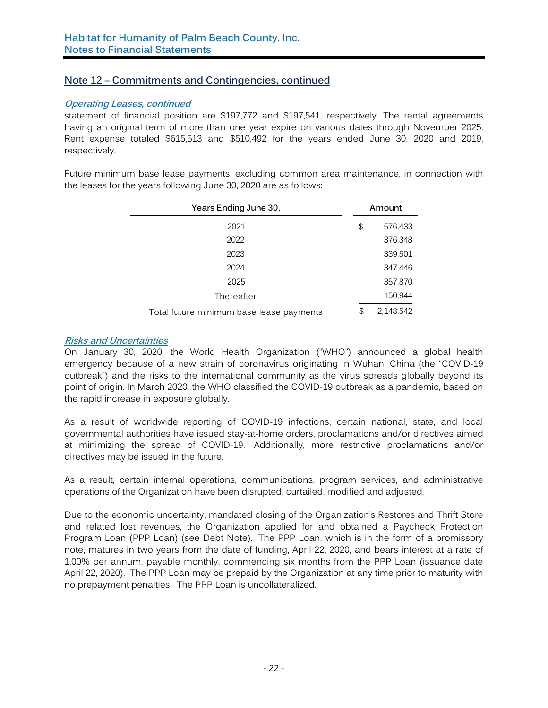## **Note 12 – Commitments and Contingencies, continued**

#### **Operating Leases, continued**

statement of financial position are \$197,772 and \$197,541, respectively. The rental agreements having an original term of more than one year expire on various dates through November 2025. Rent expense totaled \$615,513 and \$510,492 for the years ended June 30, 2020 and 2019, respectively.

Future minimum base lease payments, excluding common area maintenance, in connection with the leases for the years following June 30, 2020 are as follows:

| Years Ending June 30,                    | Amount          |  |  |
|------------------------------------------|-----------------|--|--|
| 2021                                     | \$<br>576,433   |  |  |
| 2022                                     | 376,348         |  |  |
| 2023                                     | 339,501         |  |  |
| 2024                                     | 347,446         |  |  |
| 2025                                     | 357,870         |  |  |
| Thereafter                               | 150,944         |  |  |
| Total future minimum base lease payments | \$<br>2,148,542 |  |  |

## **Risks and Uncertainties**

On January 30, 2020, the World Health Organization ("WHO") announced a global health emergency because of a new strain of coronavirus originating in Wuhan, China (the "COVID-19 outbreak") and the risks to the international community as the virus spreads globally beyond its point of origin. In March 2020, the WHO classified the COVID-19 outbreak as a pandemic, based on the rapid increase in exposure globally.

As a result of worldwide reporting of COVID-19 infections, certain national, state, and local governmental authorities have issued stay-at-home orders, proclamations and/or directives aimed at minimizing the spread of COVID-19. Additionally, more restrictive proclamations and/or directives may be issued in the future.

As a result, certain internal operations, communications, program services, and administrative operations of the Organization have been disrupted, curtailed, modified and adjusted.

Due to the economic uncertainty, mandated closing of the Organization's Restores and Thrift Store and related lost revenues, the Organization applied for and obtained a Paycheck Protection Program Loan (PPP Loan) (see Debt Note). The PPP Loan, which is in the form of a promissory note, matures in two years from the date of funding, April 22, 2020, and bears interest at a rate of 1.00% per annum, payable monthly, commencing six months from the PPP Loan (issuance date April 22, 2020). The PPP Loan may be prepaid by the Organization at any time prior to maturity with no prepayment penalties. The PPP Loan is uncollateralized.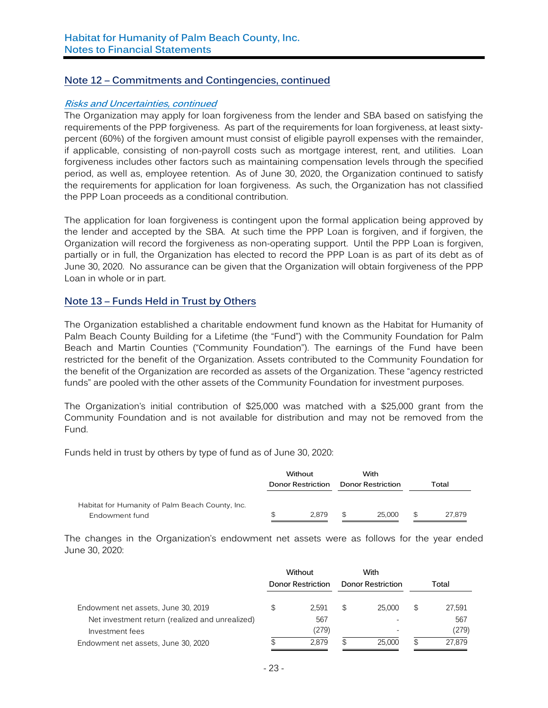## **Note 12 – Commitments and Contingencies, continued**

#### **Risks and Uncertainties, continued**

The Organization may apply for loan forgiveness from the lender and SBA based on satisfying the requirements of the PPP forgiveness. As part of the requirements for loan forgiveness, at least sixtypercent (60%) of the forgiven amount must consist of eligible payroll expenses with the remainder, if applicable, consisting of non-payroll costs such as mortgage interest, rent, and utilities. Loan forgiveness includes other factors such as maintaining compensation levels through the specified period, as well as, employee retention. As of June 30, 2020, the Organization continued to satisfy the requirements for application for loan forgiveness. As such, the Organization has not classified the PPP Loan proceeds as a conditional contribution.

The application for loan forgiveness is contingent upon the formal application being approved by the lender and accepted by the SBA. At such time the PPP Loan is forgiven, and if forgiven, the Organization will record the forgiveness as non-operating support. Until the PPP Loan is forgiven, partially or in full, the Organization has elected to record the PPP Loan is as part of its debt as of June 30, 2020. No assurance can be given that the Organization will obtain forgiveness of the PPP Loan in whole or in part.

## **Note 13 – Funds Held in Trust by Others**

The Organization established a charitable endowment fund known as the Habitat for Humanity of Palm Beach County Building for a Lifetime (the "Fund") with the Community Foundation for Palm Beach and Martin Counties ("Community Foundation"). The earnings of the Fund have been restricted for the benefit of the Organization. Assets contributed to the Community Foundation for the benefit of the Organization are recorded as assets of the Organization. These "agency restricted funds" are pooled with the other assets of the Community Foundation for investment purposes.

The Organization's initial contribution of \$25,000 was matched with a \$25,000 grant from the Community Foundation and is not available for distribution and may not be removed from the Fund.

Funds held in trust by others by type of fund as of June 30, 2020:

|                                                                   | Without<br>Donor Restriction |       | With<br><b>Donor Restriction</b> |        | Total |        |
|-------------------------------------------------------------------|------------------------------|-------|----------------------------------|--------|-------|--------|
| Habitat for Humanity of Palm Beach County, Inc.<br>Endowment fund |                              | 2.879 | \$                               | 25.000 | - \$  | 27.879 |

The changes in the Organization's endowment net assets were as follows for the year ended June 30, 2020:

|                                                                                        | Without<br><b>Donor Restriction</b> |                | With<br><b>Donor Restriction</b> |        |   | Total           |  |
|----------------------------------------------------------------------------------------|-------------------------------------|----------------|----------------------------------|--------|---|-----------------|--|
| Endowment net assets, June 30, 2019<br>Net investment return (realized and unrealized) | S                                   | 2.591<br>567   | S.                               | 25.000 | S | 27,591<br>567   |  |
| Investment fees<br>Endowment net assets, June 30, 2020                                 |                                     | (279)<br>2.879 |                                  | 25.000 | S | (279)<br>27.879 |  |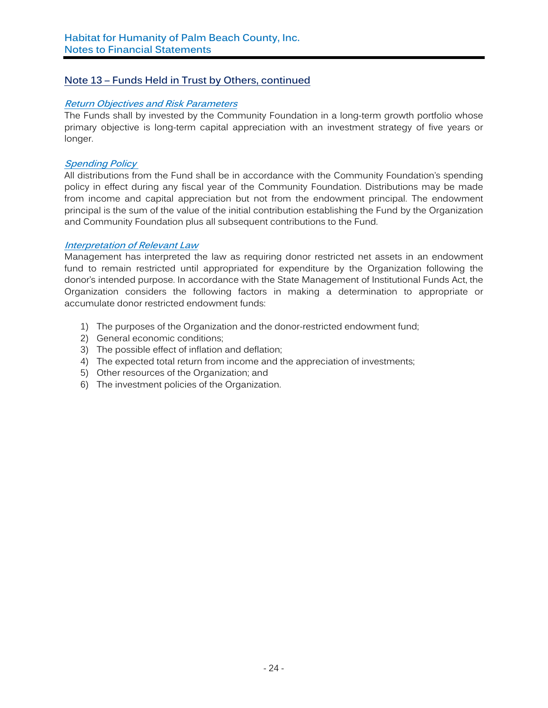## **Note 13 – Funds Held in Trust by Others, continued**

#### **Return Objectives and Risk Parameters**

The Funds shall by invested by the Community Foundation in a long-term growth portfolio whose primary objective is long-term capital appreciation with an investment strategy of five years or longer.

#### **Spending Policy**

All distributions from the Fund shall be in accordance with the Community Foundation's spending policy in effect during any fiscal year of the Community Foundation. Distributions may be made from income and capital appreciation but not from the endowment principal. The endowment principal is the sum of the value of the initial contribution establishing the Fund by the Organization and Community Foundation plus all subsequent contributions to the Fund.

#### **Interpretation of Relevant Law**

Management has interpreted the law as requiring donor restricted net assets in an endowment fund to remain restricted until appropriated for expenditure by the Organization following the donor's intended purpose. In accordance with the State Management of Institutional Funds Act, the Organization considers the following factors in making a determination to appropriate or accumulate donor restricted endowment funds:

- 1) The purposes of the Organization and the donor-restricted endowment fund;
- 2) General economic conditions;
- 3) The possible effect of inflation and deflation;
- 4) The expected total return from income and the appreciation of investments;
- 5) Other resources of the Organization; and
- 6) The investment policies of the Organization.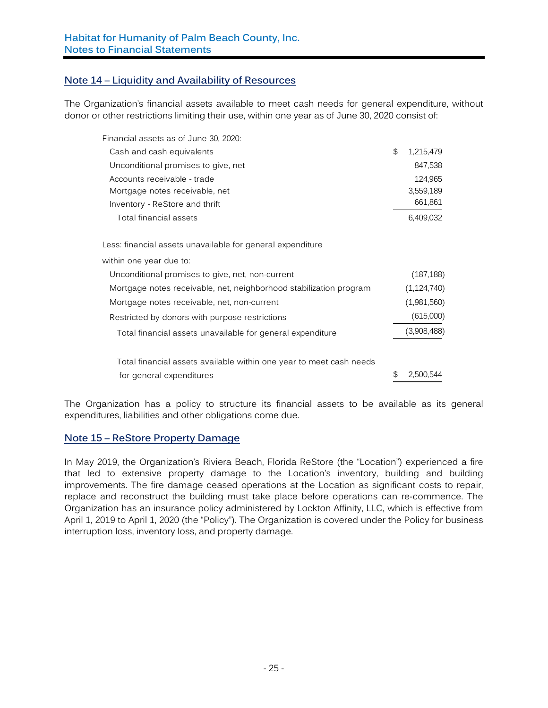## **Note 14 – Liquidity and Availability of Resources**

The Organization's financial assets available to meet cash needs for general expenditure, without donor or other restrictions limiting their use, within one year as of June 30, 2020 consist of:

| Financial assets as of June 30, 2020:                               |                 |
|---------------------------------------------------------------------|-----------------|
| Cash and cash equivalents                                           | \$<br>1,215,479 |
| Unconditional promises to give, net                                 | 847,538         |
| Accounts receivable - trade                                         | 124,965         |
| Mortgage notes receivable, net                                      | 3,559,189       |
| Inventory - ReStore and thrift                                      | 661,861         |
| Total financial assets                                              | 6,409,032       |
| Less: financial assets unavailable for general expenditure          |                 |
| within one year due to:                                             |                 |
| Unconditional promises to give, net, non-current                    | (187, 188)      |
| Mortgage notes receivable, net, neighborhood stabilization program  | (1, 124, 740)   |
| Mortgage notes receivable, net, non-current                         | (1,981,560)     |
| Restricted by donors with purpose restrictions                      | (615,000)       |
| Total financial assets unavailable for general expenditure          | (3,908,488)     |
| Total financial assets available within one year to meet cash needs |                 |
| for general expenditures                                            | \$<br>2,500,544 |

The Organization has a policy to structure its financial assets to be available as its general expenditures, liabilities and other obligations come due.

## **Note 15 – ReStore Property Damage**

In May 2019, the Organization's Riviera Beach, Florida ReStore (the "Location") experienced a fire that led to extensive property damage to the Location's inventory, building and building improvements. The fire damage ceased operations at the Location as significant costs to repair, replace and reconstruct the building must take place before operations can re-commence. The Organization has an insurance policy administered by Lockton Affinity, LLC, which is effective from April 1, 2019 to April 1, 2020 (the "Policy"). The Organization is covered under the Policy for business interruption loss, inventory loss, and property damage.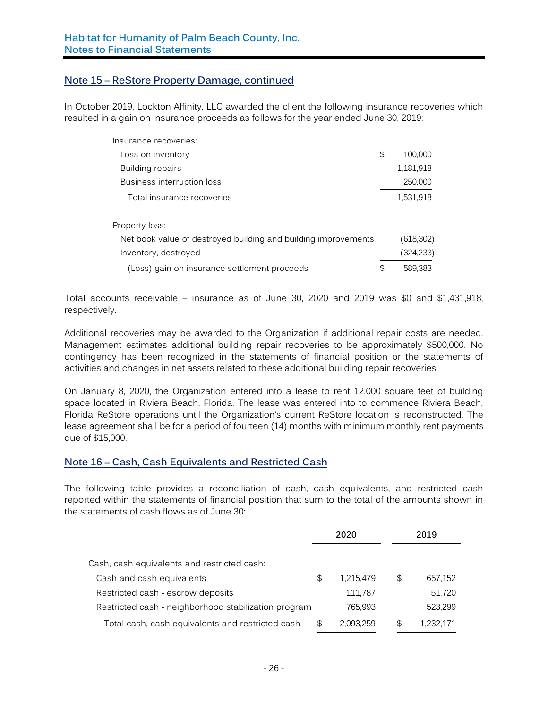## **Note 15 – ReStore Property Damage, continued**

In October 2019, Lockton Affinity, LLC awarded the client the following insurance recoveries which resulted in a gain on insurance proceeds as follows for the year ended June 30, 2019:

| Insurance recoveries:                                          |               |
|----------------------------------------------------------------|---------------|
| Loss on inventory                                              | \$<br>100.000 |
| Building repairs                                               | 1,181,918     |
| Business interruption loss                                     | 250,000       |
| Total insurance recoveries                                     | 1,531,918     |
| Property loss:                                                 |               |
| Net book value of destroyed building and building improvements | (618, 302)    |
| Inventory, destroyed                                           | (324, 233)    |
| (Loss) gain on insurance settlement proceeds                   | \$<br>589.383 |

Total accounts receivable – insurance as of June 30, 2020 and 2019 was \$0 and \$1,431,918, respectively.

Additional recoveries may be awarded to the Organization if additional repair costs are needed. Management estimates additional building repair recoveries to be approximately \$500,000. No contingency has been recognized in the statements of financial position or the statements of activities and changes in net assets related to these additional building repair recoveries.

On January 8, 2020, the Organization entered into a lease to rent 12,000 square feet of building space located in Riviera Beach, Florida. The lease was entered into to commence Riviera Beach, Florida ReStore operations until the Organization's current ReStore location is reconstructed. The lease agreement shall be for a period of fourteen (14) months with minimum monthly rent payments due of \$15,000.

## **Note 16 – Cash, Cash Equivalents and Restricted Cash**

The following table provides a reconciliation of cash, cash equivalents, and restricted cash reported within the statements of financial position that sum to the total of the amounts shown in the statements of cash flows as of June 30:

|                                                      | 2020            | 2019            |
|------------------------------------------------------|-----------------|-----------------|
|                                                      |                 |                 |
| Cash, cash equivalents and restricted cash:          |                 |                 |
| Cash and cash equivalents                            | \$<br>1,215,479 | \$<br>657,152   |
| Restricted cash - escrow deposits                    | 111,787         | 51,720          |
| Restricted cash - neighborhood stabilization program | 765,993         | 523,299         |
| Total cash, cash equivalents and restricted cash     | \$<br>2,093,259 | \$<br>1,232,171 |